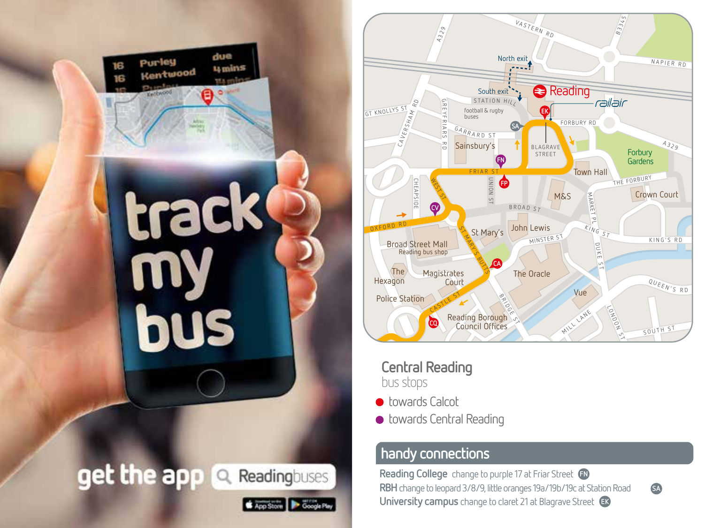



**Central Reading** bus stops

**• towards Calcot** 

Google Play

App Store

● towards Central Reading

## **handy connections**

**Reading College** change to purple 17 at Friar Street FN **University campus** change to claret 21 at Blagrave Street Ek **RBH** change to leopard 3/8/9, little oranges 19a/19b/19c at Station Road

**SA**